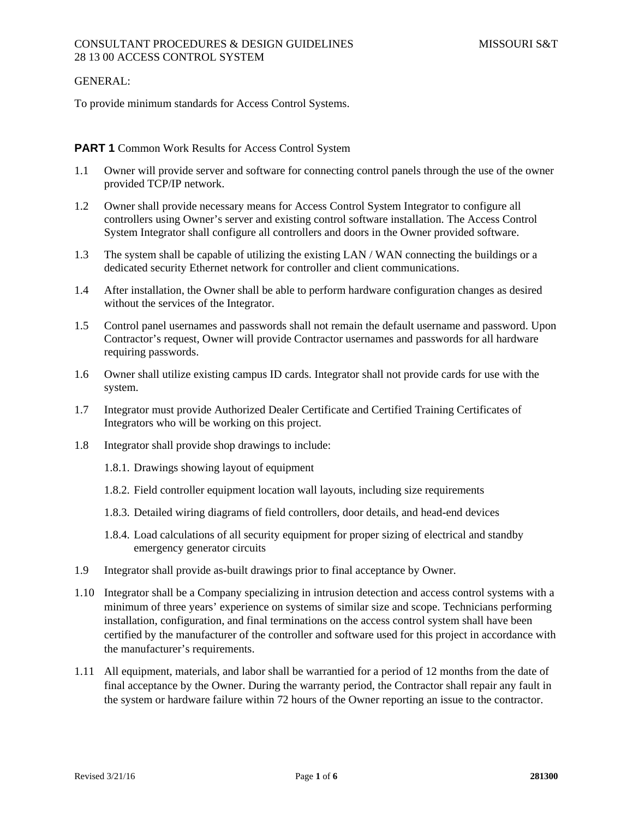### GENERAL:

To provide minimum standards for Access Control Systems.

# **PART 1** Common Work Results for Access Control System

- 1.1 Owner will provide server and software for connecting control panels through the use of the owner provided TCP/IP network.
- 1.2 Owner shall provide necessary means for Access Control System Integrator to configure all controllers using Owner's server and existing control software installation. The Access Control System Integrator shall configure all controllers and doors in the Owner provided software.
- 1.3 The system shall be capable of utilizing the existing LAN / WAN connecting the buildings or a dedicated security Ethernet network for controller and client communications.
- 1.4 After installation, the Owner shall be able to perform hardware configuration changes as desired without the services of the Integrator.
- 1.5 Control panel usernames and passwords shall not remain the default username and password. Upon Contractor's request, Owner will provide Contractor usernames and passwords for all hardware requiring passwords.
- 1.6 Owner shall utilize existing campus ID cards. Integrator shall not provide cards for use with the system.
- 1.7 Integrator must provide Authorized Dealer Certificate and Certified Training Certificates of Integrators who will be working on this project.
- 1.8 Integrator shall provide shop drawings to include:
	- 1.8.1. Drawings showing layout of equipment
	- 1.8.2. Field controller equipment location wall layouts, including size requirements
	- 1.8.3. Detailed wiring diagrams of field controllers, door details, and head-end devices
	- 1.8.4. Load calculations of all security equipment for proper sizing of electrical and standby emergency generator circuits
- 1.9 Integrator shall provide as-built drawings prior to final acceptance by Owner.
- 1.10 Integrator shall be a Company specializing in intrusion detection and access control systems with a minimum of three years' experience on systems of similar size and scope. Technicians performing installation, configuration, and final terminations on the access control system shall have been certified by the manufacturer of the controller and software used for this project in accordance with the manufacturer's requirements.
- 1.11 All equipment, materials, and labor shall be warrantied for a period of 12 months from the date of final acceptance by the Owner. During the warranty period, the Contractor shall repair any fault in the system or hardware failure within 72 hours of the Owner reporting an issue to the contractor.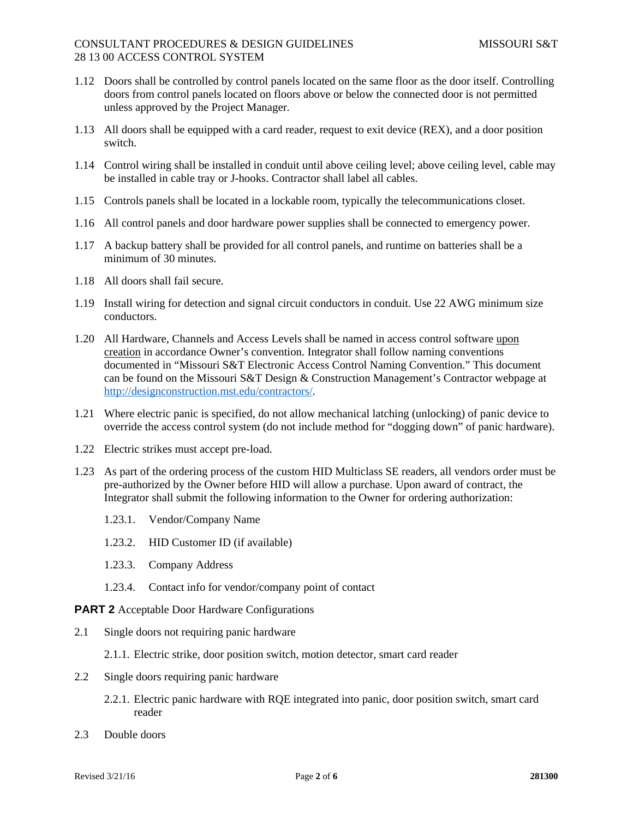# CONSULTANT PROCEDURES & DESIGN GUIDELINES MISSOURI S&T 28 13 00 ACCESS CONTROL SYSTEM

- 1.12 Doors shall be controlled by control panels located on the same floor as the door itself. Controlling doors from control panels located on floors above or below the connected door is not permitted unless approved by the Project Manager.
- 1.13 All doors shall be equipped with a card reader, request to exit device (REX), and a door position switch.
- 1.14 Control wiring shall be installed in conduit until above ceiling level; above ceiling level, cable may be installed in cable tray or J-hooks. Contractor shall label all cables.
- 1.15 Controls panels shall be located in a lockable room, typically the telecommunications closet.
- 1.16 All control panels and door hardware power supplies shall be connected to emergency power.
- 1.17 A backup battery shall be provided for all control panels, and runtime on batteries shall be a minimum of 30 minutes.
- 1.18 All doors shall fail secure.
- 1.19 Install wiring for detection and signal circuit conductors in conduit. Use 22 AWG minimum size conductors.
- 1.20 All Hardware, Channels and Access Levels shall be named in access control software upon creation in accordance Owner's convention. Integrator shall follow naming conventions documented in "Missouri S&T Electronic Access Control Naming Convention." This document can be found on the Missouri S&T Design & Construction Management's Contractor webpage at http://designconstruction.mst.edu/contractors/.
- 1.21 Where electric panic is specified, do not allow mechanical latching (unlocking) of panic device to override the access control system (do not include method for "dogging down" of panic hardware).
- 1.22 Electric strikes must accept pre-load.
- 1.23 As part of the ordering process of the custom HID Multiclass SE readers, all vendors order must be pre-authorized by the Owner before HID will allow a purchase. Upon award of contract, the Integrator shall submit the following information to the Owner for ordering authorization:
	- 1.23.1. Vendor/Company Name
	- 1.23.2. HID Customer ID (if available)
	- 1.23.3. Company Address
	- 1.23.4. Contact info for vendor/company point of contact

**PART 2** Acceptable Door Hardware Configurations

- 2.1 Single doors not requiring panic hardware
	- 2.1.1. Electric strike, door position switch, motion detector, smart card reader
- 2.2 Single doors requiring panic hardware
	- 2.2.1. Electric panic hardware with RQE integrated into panic, door position switch, smart card reader
- 2.3 Double doors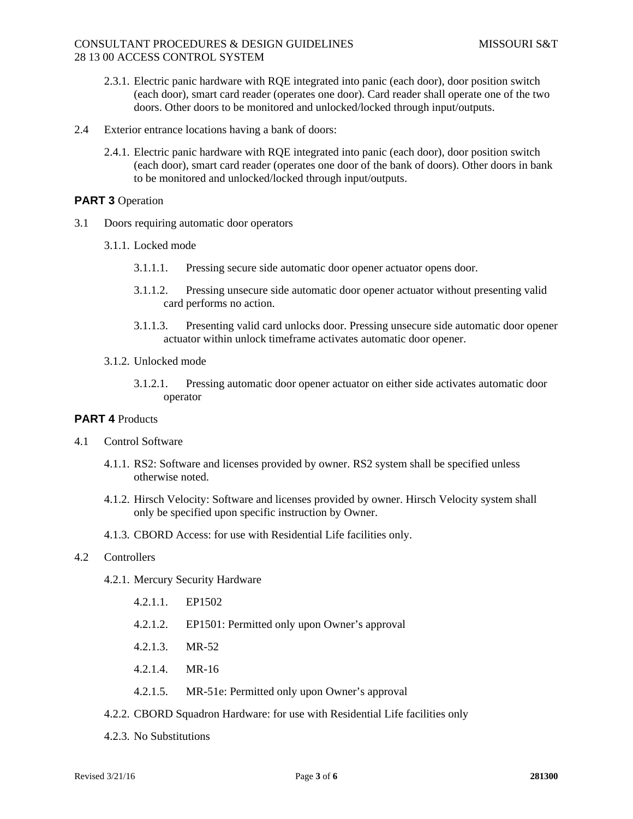# CONSULTANT PROCEDURES & DESIGN GUIDELINES MISSOURI S&T 28 13 00 ACCESS CONTROL SYSTEM

- 2.3.1. Electric panic hardware with RQE integrated into panic (each door), door position switch (each door), smart card reader (operates one door). Card reader shall operate one of the two doors. Other doors to be monitored and unlocked/locked through input/outputs.
- 2.4 Exterior entrance locations having a bank of doors:
	- 2.4.1. Electric panic hardware with RQE integrated into panic (each door), door position switch (each door), smart card reader (operates one door of the bank of doors). Other doors in bank to be monitored and unlocked/locked through input/outputs.

# **PART 3** Operation

- 3.1 Doors requiring automatic door operators
	- 3.1.1. Locked mode
		- 3.1.1.1. Pressing secure side automatic door opener actuator opens door.
		- 3.1.1.2. Pressing unsecure side automatic door opener actuator without presenting valid card performs no action.
		- 3.1.1.3. Presenting valid card unlocks door. Pressing unsecure side automatic door opener actuator within unlock timeframe activates automatic door opener.
	- 3.1.2. Unlocked mode
		- 3.1.2.1. Pressing automatic door opener actuator on either side activates automatic door operator

### **PART 4** Products

- 4.1 Control Software
	- 4.1.1. RS2: Software and licenses provided by owner. RS2 system shall be specified unless otherwise noted.
	- 4.1.2. Hirsch Velocity: Software and licenses provided by owner. Hirsch Velocity system shall only be specified upon specific instruction by Owner.
	- 4.1.3. CBORD Access: for use with Residential Life facilities only.

### 4.2 Controllers

- 4.2.1. Mercury Security Hardware
	- 4.2.1.1. EP1502
	- 4.2.1.2. EP1501: Permitted only upon Owner's approval
	- 4.2.1.3. MR-52
	- 4.2.1.4. MR-16
	- 4.2.1.5. MR-51e: Permitted only upon Owner's approval
- 4.2.2. CBORD Squadron Hardware: for use with Residential Life facilities only
- 4.2.3. No Substitutions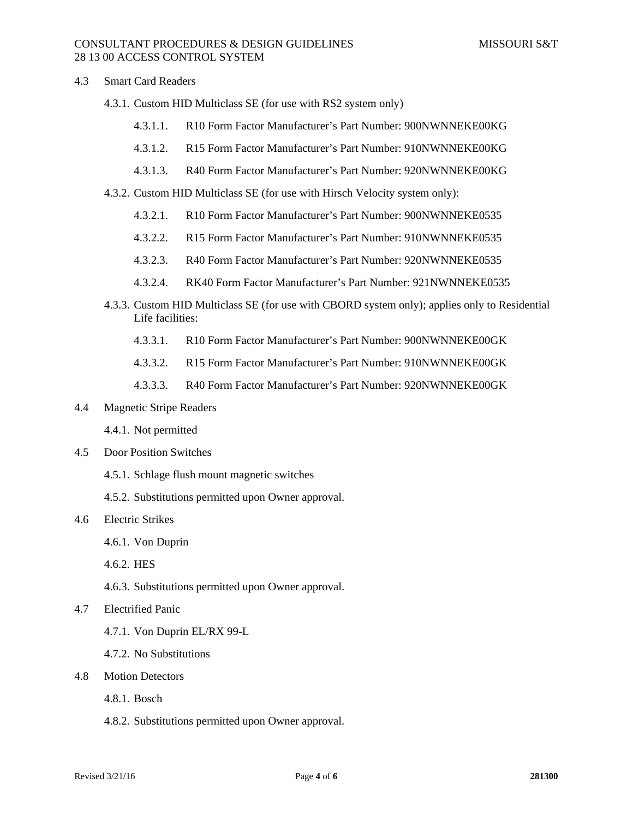## CONSULTANT PROCEDURES & DESIGN GUIDELINES MISSOURI S&T 28 13 00 ACCESS CONTROL SYSTEM

#### 4.3 Smart Card Readers

- 4.3.1. Custom HID Multiclass SE (for use with RS2 system only)
	- 4.3.1.1. R10 Form Factor Manufacturer's Part Number: 900NWNNEKE00KG
	- 4.3.1.2. R15 Form Factor Manufacturer's Part Number: 910NWNNEKE00KG
	- 4.3.1.3. R40 Form Factor Manufacturer's Part Number: 920NWNNEKE00KG
- 4.3.2. Custom HID Multiclass SE (for use with Hirsch Velocity system only):
	- 4.3.2.1. R10 Form Factor Manufacturer's Part Number: 900NWNNEKE0535
	- 4.3.2.2. R15 Form Factor Manufacturer's Part Number: 910NWNNEKE0535
	- 4.3.2.3. R40 Form Factor Manufacturer's Part Number: 920NWNNEKE0535
	- 4.3.2.4. RK40 Form Factor Manufacturer's Part Number: 921NWNNEKE0535
- 4.3.3. Custom HID Multiclass SE (for use with CBORD system only); applies only to Residential Life facilities:
	- 4.3.3.1. R10 Form Factor Manufacturer's Part Number: 900NWNNEKE00GK
	- 4.3.3.2. R15 Form Factor Manufacturer's Part Number: 910NWNNEKE00GK
	- 4.3.3.3. R40 Form Factor Manufacturer's Part Number: 920NWNNEKE00GK
- 4.4 Magnetic Stripe Readers
	- 4.4.1. Not permitted
- 4.5 Door Position Switches
	- 4.5.1. Schlage flush mount magnetic switches
	- 4.5.2. Substitutions permitted upon Owner approval.
- 4.6 Electric Strikes
	- 4.6.1. Von Duprin
	- 4.6.2. HES
	- 4.6.3. Substitutions permitted upon Owner approval.
- 4.7 Electrified Panic
	- 4.7.1. Von Duprin EL/RX 99-L
	- 4.7.2. No Substitutions
- 4.8 Motion Detectors
	- 4.8.1. Bosch
	- 4.8.2. Substitutions permitted upon Owner approval.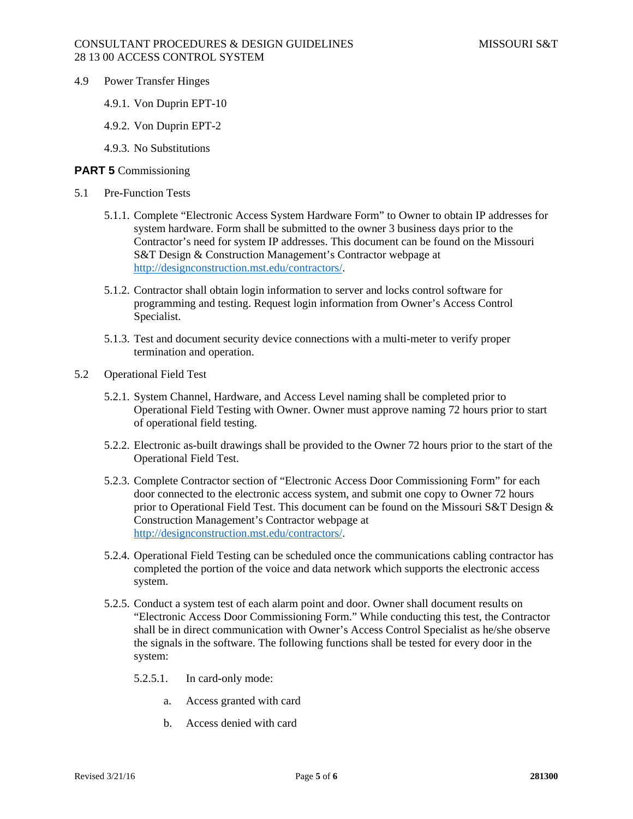- 4.9 Power Transfer Hinges
	- 4.9.1. Von Duprin EPT-10
	- 4.9.2. Von Duprin EPT-2
	- 4.9.3. No Substitutions

## **PART 5** Commissioning

- 5.1 Pre-Function Tests
	- 5.1.1. Complete "Electronic Access System Hardware Form" to Owner to obtain IP addresses for system hardware. Form shall be submitted to the owner 3 business days prior to the Contractor's need for system IP addresses. This document can be found on the Missouri S&T Design & Construction Management's Contractor webpage at http://designconstruction.mst.edu/contractors/.
	- 5.1.2. Contractor shall obtain login information to server and locks control software for programming and testing. Request login information from Owner's Access Control Specialist.
	- 5.1.3. Test and document security device connections with a multi-meter to verify proper termination and operation.
- 5.2 Operational Field Test
	- 5.2.1. System Channel, Hardware, and Access Level naming shall be completed prior to Operational Field Testing with Owner. Owner must approve naming 72 hours prior to start of operational field testing.
	- 5.2.2. Electronic as-built drawings shall be provided to the Owner 72 hours prior to the start of the Operational Field Test.
	- 5.2.3. Complete Contractor section of "Electronic Access Door Commissioning Form" for each door connected to the electronic access system, and submit one copy to Owner 72 hours prior to Operational Field Test. This document can be found on the Missouri S&T Design & Construction Management's Contractor webpage at http://designconstruction.mst.edu/contractors/.
	- 5.2.4. Operational Field Testing can be scheduled once the communications cabling contractor has completed the portion of the voice and data network which supports the electronic access system.
	- 5.2.5. Conduct a system test of each alarm point and door. Owner shall document results on "Electronic Access Door Commissioning Form." While conducting this test, the Contractor shall be in direct communication with Owner's Access Control Specialist as he/she observe the signals in the software. The following functions shall be tested for every door in the system:
		- 5.2.5.1. In card-only mode:
			- a. Access granted with card
			- b. Access denied with card